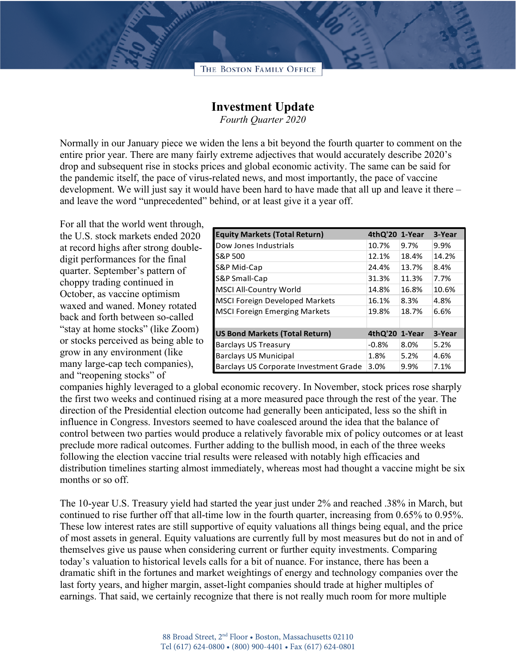

## **Investment Update**

*Fourth Quarter 2020*

Normally in our January piece we widen the lens a bit beyond the fourth quarter to comment on the entire prior year. There are many fairly extreme adjectives that would accurately describe 2020's drop and subsequent rise in stocks prices and global economic activity. The same can be said for the pandemic itself, the pace of virus-related news, and most importantly, the pace of vaccine development. We will just say it would have been hard to have made that all up and leave it there – and leave the word "unprecedented" behind, or at least give it a year off.

For all that the world went through, the U.S. stock markets ended 2020 at record highs after strong doubledigit performances for the final quarter. September's pattern of choppy trading continued in October, as vaccine optimism waxed and waned. Money rotated back and forth between so-called "stay at home stocks" (like Zoom) or stocks perceived as being able to grow in any environment (like many large-cap tech companies), and "reopening stocks" of

| <b>Equity Markets (Total Return)</b>   | 4thQ'20 1-Year |       | 3-Year |
|----------------------------------------|----------------|-------|--------|
| Dow Jones Industrials                  | 10.7%          | 9.7%  | 9.9%   |
| S&P 500                                | 12.1%          | 18.4% | 14.2%  |
| S&P Mid-Cap                            | 24.4%          | 13.7% | 8.4%   |
| S&P Small-Cap                          | 31.3%          | 11.3% | 7.7%   |
| <b>MSCI All-Country World</b>          | 14.8%          | 16.8% | 10.6%  |
| <b>MSCI Foreign Developed Markets</b>  | 16.1%          | 8.3%  | 4.8%   |
| <b>MSCI Foreign Emerging Markets</b>   | 19.8%          | 18.7% | 6.6%   |
|                                        |                |       |        |
| <b>US Bond Markets (Total Return)</b>  | 4thQ'20 1-Year |       | 3-Year |
| <b>Barclays US Treasury</b>            | $-0.8%$        | 8.0%  | 5.2%   |
| <b>Barclays US Municipal</b>           | 1.8%           | 5.2%  | 4.6%   |
| Barclays US Corporate Investment Grade | 3.0%           | 9.9%  | 7.1%   |

companies highly leveraged to a global economic recovery. In November, stock prices rose sharply the first two weeks and continued rising at a more measured pace through the rest of the year. The direction of the Presidential election outcome had generally been anticipated, less so the shift in influence in Congress. Investors seemed to have coalesced around the idea that the balance of control between two parties would produce a relatively favorable mix of policy outcomes or at least preclude more radical outcomes. Further adding to the bullish mood, in each of the three weeks following the election vaccine trial results were released with notably high efficacies and distribution timelines starting almost immediately, whereas most had thought a vaccine might be six months or so off.

The 10-year U.S. Treasury yield had started the year just under 2% and reached .38% in March, but continued to rise further off that all-time low in the fourth quarter, increasing from 0.65% to 0.95%. These low interest rates are still supportive of equity valuations all things being equal, and the price of most assets in general. Equity valuations are currently full by most measures but do not in and of themselves give us pause when considering current or further equity investments. Comparing today's valuation to historical levels calls for a bit of nuance. For instance, there has been a dramatic shift in the fortunes and market weightings of energy and technology companies over the last forty years, and higher margin, asset-light companies should trade at higher multiples of earnings. That said, we certainly recognize that there is not really much room for more multiple